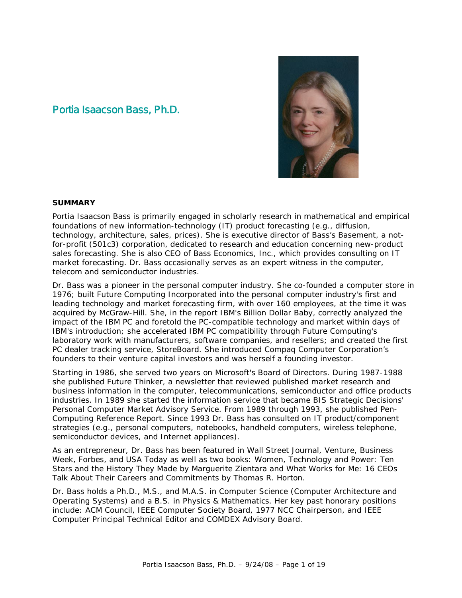# Portia Isaacson Bass, Ph.D.



#### **SUMMARY**

Portia Isaacson Bass is primarily engaged in scholarly research in mathematical and empirical foundations of new information-technology (IT) product forecasting (e.g., diffusion, technology, architecture, sales, prices). She is executive director of Bass's Basement, a notfor-profit (501c3) corporation, dedicated to research and education concerning new-product sales forecasting. She is also CEO of Bass Economics, Inc., which provides consulting on IT market forecasting. Dr. Bass occasionally serves as an expert witness in the computer, telecom and semiconductor industries.

Dr. Bass was a pioneer in the personal computer industry. She co-founded a computer store in 1976; built Future Computing Incorporated into the personal computer industry's first and leading technology and market forecasting firm, with over 160 employees, at the time it was acquired by McGraw-Hill. She, in the report *IBM's Billion Dollar Baby*, correctly analyzed the impact of the IBM PC and foretold the PC-compatible technology and market within days of IBM's introduction; she accelerated IBM PC compatibility through Future Computing's laboratory work with manufacturers, software companies, and resellers; and created the first PC dealer tracking service, *StoreBoard*. She introduced Compaq Computer Corporation's founders to their venture capital investors and was herself a founding investor.

Starting in 1986, she served two years on Microsoft's Board of Directors. During 1987-1988 she published *Future Thinker*, a newsletter that reviewed published market research and business information in the computer, telecommunications, semiconductor and office products industries. In 1989 she started the information service that became BIS Strategic Decisions' *Personal Computer Market Advisory Service*. From 1989 through 1993, she published *Pen-Computing Reference Report*. Since 1993 Dr. Bass has consulted on IT product/component strategies (e.g., personal computers, notebooks, handheld computers, wireless telephone, semiconductor devices, and Internet appliances).

As an entrepreneur, Dr. Bass has been featured in *Wall Street Journal*, *Venture*, *Business Week*, *Forbes*, and *USA Today* as well as two books: *Women, Technology and Power: Ten Stars and the History They Made* by Marguerite Zientara and *What Works for Me: 16 CEOs Talk About Their Careers and Commitments* by Thomas R. Horton.

Dr. Bass holds a Ph.D., M.S., and M.A.S. in Computer Science (Computer Architecture and Operating Systems) and a B.S. in Physics & Mathematics. Her key past honorary positions include: ACM Council, IEEE Computer Society Board, 1977 NCC Chairperson, and IEEE Computer Principal Technical Editor and COMDEX Advisory Board.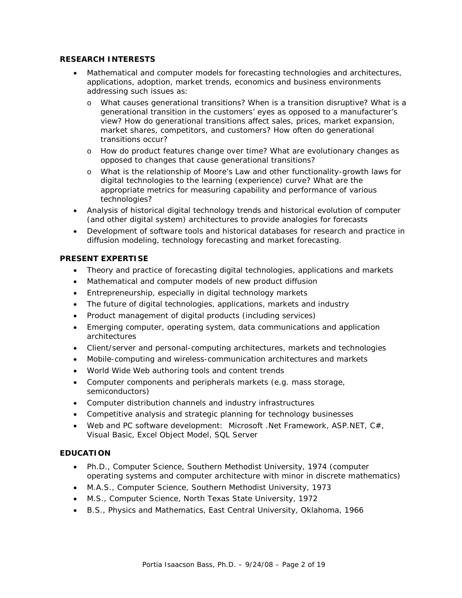#### **RESEARCH INTERESTS**

- Mathematical and computer models for forecasting technologies and architectures, applications, adoption, market trends, economics and business environments addressing such issues as:
	- o What causes generational transitions? When is a transition disruptive? What is a generational transition in the customers' eyes as opposed to a manufacturer's view? How do generational transitions affect sales, prices, market expansion, market shares, competitors, and customers? How often do generational transitions occur?
	- o How do product features change over time? What are evolutionary changes as opposed to changes that cause generational transitions?
	- o What is the relationship of Moore's Law and other functionality-growth laws for digital technologies to the learning (experience) curve? What are the appropriate metrics for measuring capability and performance of various technologies?
- Analysis of historical digital technology trends and historical evolution of computer (and other digital system) architectures to provide analogies for forecasts
- Development of software tools and historical databases for research and practice in diffusion modeling, technology forecasting and market forecasting.

### **PRESENT EXPERTISE**

- Theory and practice of forecasting digital technologies, applications and markets
- Mathematical and computer models of new product diffusion
- Entrepreneurship, especially in digital technology markets
- The future of digital technologies, applications, markets and industry
- Product management of digital products (including services)
- Emerg*i*ng computer, operating system, data communications and application architectures
- Client/server and personal-computing architectures, markets and technologies
- Mobile-computing and wireless-communication architectures and markets
- World Wide Web authoring tools and content trends
- Computer components and peripherals markets (e.g. mass storage, semiconductors)
- Computer distribution channels and industry infrastructures
- Competitive analysis and strategic planning for technology businesses
- Web and PC software development: Microsoft .Net Framework, ASP.NET, C#, Visual Basic, Excel Object Model, SQL Server

# **EDUCATION**

- Ph.D., Computer Science, Southern Methodist University, 1974 (computer operating systems and computer architecture with minor in discrete mathematics)
- M.A.S., Computer Science, Southern Methodist University, 1973
- M.S., Computer Science, North Texas State University, 1972
- B.S., Physics and Mathematics, East Central University, Oklahoma, 1966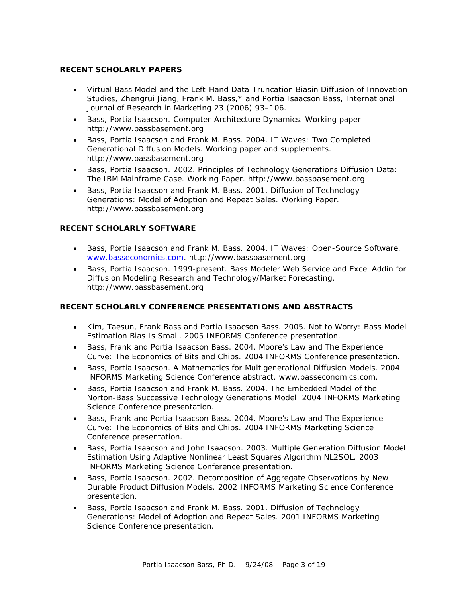#### **RECENT SCHOLARLY PAPERS**

- Virtual Bass Model and the Left-Hand Data-Truncation Biasin Diffusion of Innovation Studies, Zhengrui Jiang, Frank M. Bass,\* and Portia Isaacson Bass, International Journal of Research in Marketing 23 (2006) 93–106.
- Bass, Portia Isaacson. Computer-Architecture Dynamics. Working paper. http://www.bassbasement.org
- Bass, Portia Isaacson and Frank M. Bass. 2004. IT Waves: Two Completed Generational Diffusion Models. Working paper and supplements. http://www.bassbasement.org
- Bass, Portia Isaacson. 2002. Principles of Technology Generations Diffusion Data: The IBM Mainframe Case. Working Paper. http://www.bassbasement.org
- Bass, Portia Isaacson and Frank M. Bass. 2001. Diffusion of Technology Generations: Model of Adoption and Repeat Sales. Working Paper. http://www.bassbasement.org

#### **RECENT SCHOLARLY SOFTWARE**

- Bass, Portia Isaacson and Frank M. Bass. 2004. IT Waves: Open-Source Software. [www.basseconomics.com.](http://www.basseconomics.com/) http://www.bassbasement.org
- Bass, Portia Isaacson. 1999-present. Bass Modeler Web Service and Excel Addin for Diffusion Modeling Research and Technology/Market Forecasting. http://www.bassbasement.org

### **RECENT SCHOLARLY CONFERENCE PRESENTATIONS AND ABSTRACTS**

- Kim, Taesun, Frank Bass and Portia Isaacson Bass. 2005. Not to Worry: Bass Model Estimation Bias Is Small. 2005 INFORMS Conference presentation.
- Bass, Frank and Portia Isaacson Bass. 2004. Moore's Law and The Experience Curve: The Economics of Bits and Chips. 2004 INFORMS Conference presentation.
- Bass, Portia Isaacson. A Mathematics for Multigenerational Diffusion Models. 2004 INFORMS Marketing Science Conference abstract. www.basseconomics.com.
- Bass, Portia Isaacson and Frank M. Bass. 2004. The Embedded Model of the Norton-Bass Successive Technology Generations Model. 2004 INFORMS Marketing Science Conference presentation.
- Bass, Frank and Portia Isaacson Bass. 2004. Moore's Law and The Experience Curve: The Economics of Bits and Chips. 2004 INFORMS Marketing Science Conference presentation.
- Bass, Portia Isaacson and John Isaacson. 2003. Multiple Generation Diffusion Model Estimation Using Adaptive Nonlinear Least Squares Algorithm NL2SOL. 2003 INFORMS Marketing Science Conference presentation.
- Bass, Portia Isaacson. 2002. Decomposition of Aggregate Observations by New Durable Product Diffusion Models. 2002 INFORMS Marketing Science Conference presentation.
- Bass, Portia Isaacson and Frank M. Bass. 2001. Diffusion of Technology Generations: Model of Adoption and Repeat Sales. 2001 INFORMS Marketing Science Conference presentation.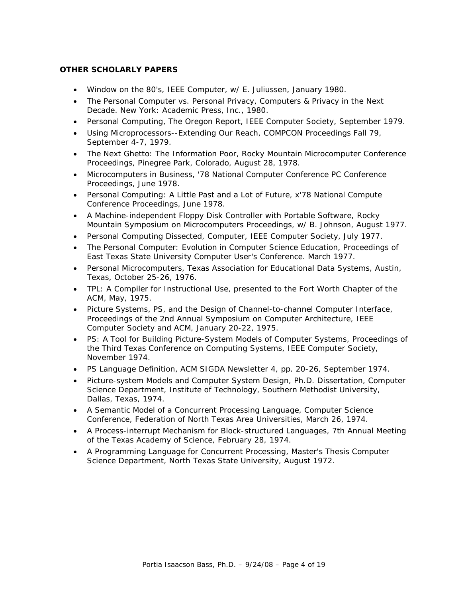### **OTHER SCHOLARLY PAPERS**

- Window on the 80's, *IEEE Computer*, w/ E. Juliussen, January 1980.
- The Personal Computer vs. Personal Privacy, *Computers & Privacy in the Next Decade*. New York: Academic Press, Inc., 1980.
- Personal Computing, The Oregon Report, IEEE Computer Society, September 1979.
- Using Microprocessors--Extending Our Reach, COMPCON Proceedings Fall 79, September 4-7, 1979.
- The Next Ghetto: The Information Poor, Rocky Mountain Microcomputer Conference Proceedings, Pinegree Park, Colorado, August 28, 1978.
- Microcomputers in Business, '78 National Computer Conference PC Conference Proceedings, June 1978.
- Personal Computing: A Little Past and a Lot of Future, x'78 National Compute Conference Proceedings, June 1978.
- A Machine-independent Floppy Disk Controller with Portable Software, *Rocky Mountain Symposium on Microcomputers Proceedings,* w/ B. Johnson, August 1977.
- Personal Computing Dissected, *Computer*, IEEE Computer Society, July 1977.
- The Personal Computer: Evolution in Computer Science Education, Proceedings of East Texas State University Computer User's Conference. March 1977.
- Personal Microcomputers, Texas Association for Educational Data Systems, Austin, Texas, October 25-26, 1976.
- TPL: A Compiler for Instructional Use, presented to the Fort Worth Chapter of the ACM, May, 1975.
- Picture Systems, PS, and the Design of Channel-to-channel Computer Interface, Proceedings of the 2nd Annual Symposium on Computer Architecture, IEEE Computer Society and ACM, January 20-22, 1975.
- PS: A Tool for Building Picture-System Models of Computer Systems, Proceedings of the Third Texas Conference on Computing Systems, IEEE Computer Society, November 1974.
- PS Language Definition, ACM SIGDA Newsletter 4, pp. 20-26, September 1974.
- Picture-system Models and Computer System Design, Ph.D. Dissertation, Computer Science Department, Institute of Technology, Southern Methodist University, Dallas, Texas, 1974.
- A Semantic Model of a Concurrent Processing Language, Computer Science Conference, Federation of North Texas Area Universities, March 26, 1974.
- A Process-interrupt Mechanism for Block-structured Languages, 7th Annual Meeting of the Texas Academy of Science, February 28, 1974.
- A Programming Language for Concurrent Processing, Master's Thesis Computer Science Department, North Texas State University, August 1972.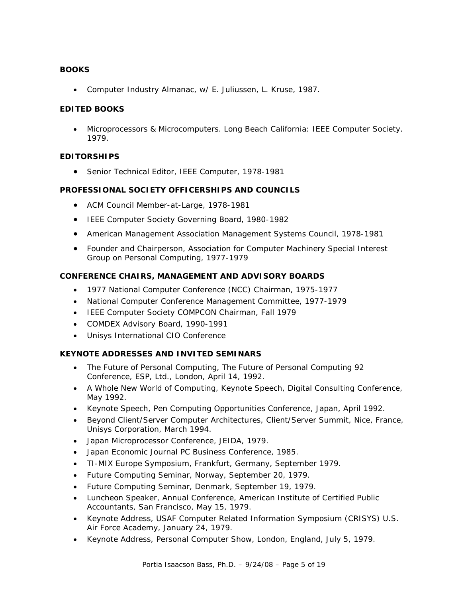### **BOOKS**

• Computer Industry Almanac, w/ E. Juliussen, L. Kruse, 1987.

### **EDITED BOOKS**

• Microprocessors & Microcomputers. Long Beach California: IEEE Computer Society. 1979.

### **EDITORSHIPS**

• Senior Technical Editor, IEEE *Computer*, 1978-1981

### **PROFESSIONAL SOCIETY OFFICERSHIPS AND COUNCILS**

- ACM Council Member-at-Large, 1978-1981
- IEEE Computer Society Governing Board, 1980-1982
- American Management Association Management Systems Council, 1978-1981
- Founder and Chairperson, Association for Computer Machinery Special Interest Group on Personal Computing, 1977-1979

### **CONFERENCE CHAIRS, MANAGEMENT AND ADVISORY BOARDS**

- 1977 National Computer Conference (NCC) Chairman, 1975-1977
- National Computer Conference Management Committee, 1977-1979
- IEEE Computer Society COMPCON Chairman, Fall 1979
- COMDEX Advisory Board, 1990-1991
- Unisys International CIO Conference

### **KEYNOTE ADDRESSES AND INVITED SEMINARS**

- The Future of Personal Computing, The Future of Personal Computing 92 Conference, ESP, Ltd., London, April 14, 1992.
- A Whole New World of Computing, Keynote Speech, Digital Consulting Conference, May 1992.
- Keynote Speech, Pen Computing Opportunities Conference, Japan, April 1992.
- Beyond Client/Server Computer Architectures, Client/Server Summit, Nice, France, Unisys Corporation, March 1994.
- Japan Microprocessor Conference, JEIDA, 1979.
- Japan Economic Journal PC Business Conference, 1985.
- TI-MIX Europe Symposium, Frankfurt, Germany, September 1979.
- Future Computing Seminar, Norway, September 20, 1979.
- Future Computing Seminar, Denmark, September 19, 1979.
- Luncheon Speaker, Annual Conference, American Institute of Certified Public Accountants, San Francisco, May 15, 1979.
- Keynote Address, USAF Computer Related Information Symposium (CRISYS) U.S. Air Force Academy, January 24, 1979.
- Keynote Address, Personal Computer Show, London, England, July 5, 1979.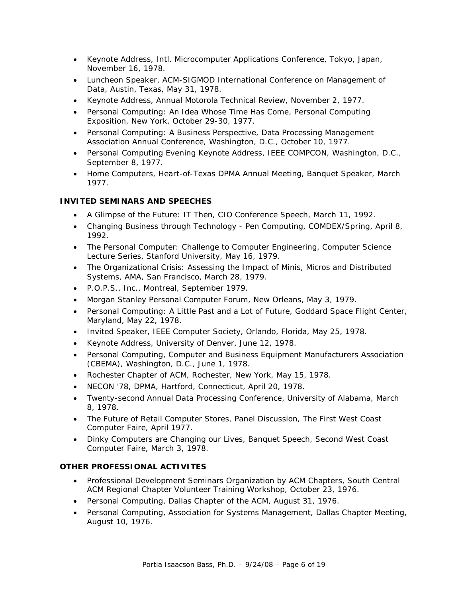- Keynote Address, Intl. Microcomputer Applications Conference, Tokyo, Japan, November 16, 1978.
- Luncheon Speaker, ACM-SIGMOD International Conference on Management of Data, Austin, Texas, May 31, 1978.
- Keynote Address, Annual Motorola Technical Review, November 2, 1977.
- Personal Computing: An Idea Whose Time Has Come, Personal Computing Exposition, New York, October 29-30, 1977.
- Personal Computing: A Business Perspective, Data Processing Management Association Annual Conference, Washington, D.C., October 10, 1977.
- Personal Computing Evening Keynote Address, IEEE COMPCON, Washington, D.C., September 8, 1977.
- Home Computers, Heart-of-Texas DPMA Annual Meeting, Banquet Speaker, March 1977.

# **INVITED SEMINARS AND SPEECHES**

- A Glimpse of the Future: IT Then, CIO Conference Speech, March 11, 1992.
- Changing Business through Technology Pen Computing, COMDEX/Spring, April 8, 1992.
- The Personal Computer: Challenge to Computer Engineering, Computer Science Lecture Series, Stanford University, May 16, 1979.
- The Organizational Crisis: Assessing the Impact of Minis, Micros and Distributed Systems, AMA, San Francisco, March 28, 1979.
- P.O.P.S., Inc., Montreal, September 1979.
- Morgan Stanley Personal Computer Forum, New Orleans, May 3, 1979.
- Personal Computing: A Little Past and a Lot of Future, Goddard Space Flight Center, Maryland, May 22, 1978.
- Invited Speaker, IEEE Computer Society, Orlando, Florida, May 25, 1978.
- Keynote Address, University of Denver, June 12, 1978.
- Personal Computing, Computer and Business Equipment Manufacturers Association (CBEMA), Washington, D.C., June 1, 1978.
- Rochester Chapter of ACM, Rochester, New York, May 15, 1978.
- NECON '78, DPMA, Hartford, Connecticut, April 20, 1978.
- Twenty-second Annual Data Processing Conference, University of Alabama, March 8, 1978.
- The Future of Retail Computer Stores, Panel Discussion, The First West Coast Computer Faire, April 1977.
- Dinky Computers are Changing our Lives, Banquet Speech, Second West Coast Computer Faire, March 3, 1978.

# **OTHER PROFESSIONAL ACTIVITES**

- Professional Development Seminars Organization by ACM Chapters, South Central ACM Regional Chapter Volunteer Training Workshop, October 23, 1976.
- Personal Computing, Dallas Chapter of the ACM, August 31, 1976.
- Personal Computing, Association for Systems Management, Dallas Chapter Meeting, August 10, 1976.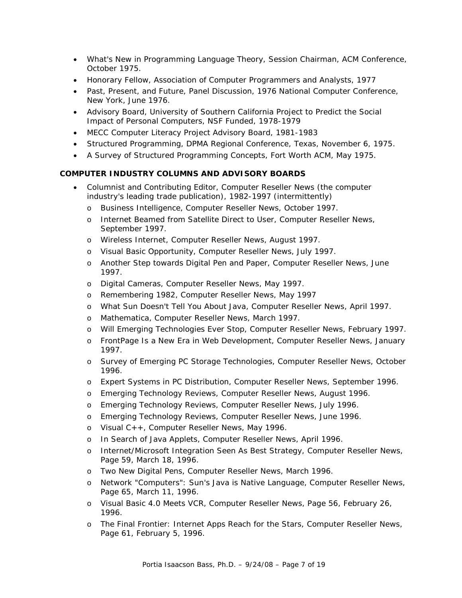- What's New in Programming Language Theory, Session Chairman, ACM Conference, October 1975.
- Honorary Fellow, Association of Computer Programmers and Analysts, 1977
- Past, Present, and Future, Panel Discussion, 1976 National Computer Conference, New York, June 1976.
- Advisory Board, University of Southern California Project to Predict the Social Impact of Personal Computers, NSF Funded, 1978-1979
- MECC Computer Literacy Project Advisory Board, 1981-1983
- Structured Programming, DPMA Regional Conference, Texas, November 6, 1975.
- A Survey of Structured Programming Concepts, Fort Worth ACM, May 1975.

### **COMPUTER INDUSTRY COLUMNS AND ADVISORY BOARDS**

- Columnist and Contributing Editor, *Computer Reseller News* (the computer industry's leading trade publication), 1982-1997 (intermittently)
	- o Business Intelligence, Computer Reseller News, October 1997.
	- o Internet Beamed from Satellite Direct to User, Computer Reseller News, September 1997.
	- o Wireless Internet, Computer Reseller News, August 1997.
	- o Visual Basic Opportunity, Computer Reseller News, July 1997.
	- o Another Step towards Digital Pen and Paper, Computer Reseller News, June 1997.
	- o Digital Cameras, Computer Reseller News, May 1997.
	- o Remembering 1982, Computer Reseller News, May 1997
	- o What Sun Doesn't Tell You About Java, Computer Reseller News, April 1997.
	- o Mathematica, Computer Reseller News, March 1997.
	- o Will Emerging Technologies Ever Stop, Computer Reseller News, February 1997.
	- o FrontPage Is a New Era in Web Development, Computer Reseller News, January 1997.
	- o Survey of Emerging PC Storage Technologies, Computer Reseller News, October 1996.
	- o Expert Systems in PC Distribution, Computer Reseller News, September 1996.
	- o Emerging Technology Reviews, Computer Reseller News, August 1996.
	- o Emerging Technology Reviews, Computer Reseller News, July 1996.
	- o Emerging Technology Reviews, Computer Reseller News, June 1996.
	- o Visual C++, Computer Reseller News, May 1996.
	- o In Search of Java Applets, Computer Reseller News, April 1996.
	- o Internet/Microsoft Integration Seen As Best Strategy, Computer Reseller News, Page 59, March 18, 1996.
	- o Two New Digital Pens, Computer Reseller News, March 1996.
	- o Network "Computers": Sun's Java is Native Language, Computer Reseller News, Page 65, March 11, 1996.
	- o Visual Basic 4.0 Meets VCR, Computer Reseller News, Page 56, February 26, 1996.
	- o The Final Frontier: Internet Apps Reach for the Stars, Computer Reseller News, Page 61, February 5, 1996.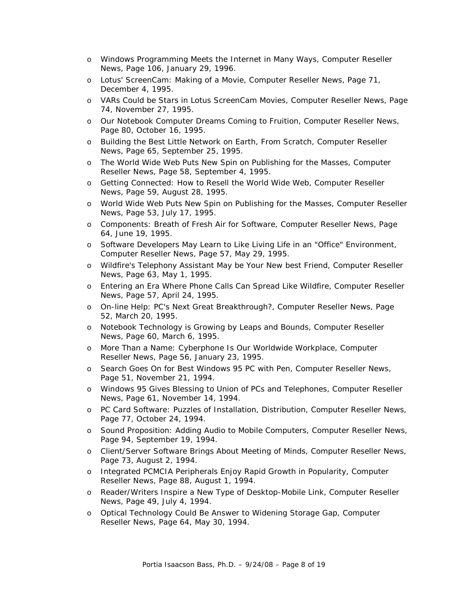- o Windows Programming Meets the Internet in Many Ways, Computer Reseller News, Page 106, January 29, 1996.
- o Lotus' ScreenCam: Making of a Movie, Computer Reseller News, Page 71, December 4, 1995.
- o VARs Could be Stars in Lotus ScreenCam Movies, Computer Reseller News, Page 74, November 27, 1995.
- o Our Notebook Computer Dreams Coming to Fruition, Computer Reseller News, Page 80, October 16, 1995.
- o Building the Best Little Network on Earth, From Scratch, Computer Reseller News, Page 65, September 25, 1995.
- o The World Wide Web Puts New Spin on Publishing for the Masses, Computer Reseller News, Page 58, September 4, 1995.
- o Getting Connected: How to Resell the World Wide Web, Computer Reseller News, Page 59, August 28, 1995.
- o World Wide Web Puts New Spin on Publishing for the Masses, Computer Reseller News, Page 53, July 17, 1995.
- o Components: Breath of Fresh Air for Software, Computer Reseller News, Page 64, June 19, 1995.
- o Software Developers May Learn to Like Living Life in an "Office" Environment, Computer Reseller News, Page 57, May 29, 1995.
- o Wildfire's Telephony Assistant May be Your New best Friend, Computer Reseller News, Page 63, May 1, 1995.
- o Entering an Era Where Phone Calls Can Spread Like Wildfire, Computer Reseller News, Page 57, April 24, 1995.
- o On-line Help: PC's Next Great Breakthrough?, Computer Reseller News, Page 52, March 20, 1995.
- o Notebook Technology is Growing by Leaps and Bounds, Computer Reseller News, Page 60, March 6, 1995.
- o More Than a Name: Cyberphone Is Our Worldwide Workplace, Computer Reseller News, Page 56, January 23, 1995.
- o Search Goes On for Best Windows 95 PC with Pen, Computer Reseller News, Page 51, November 21, 1994.
- o Windows 95 Gives Blessing to Union of PCs and Telephones, Computer Reseller News, Page 61, November 14, 1994.
- o PC Card Software: Puzzles of Installation, Distribution, Computer Reseller News, Page 77, October 24, 1994.
- o Sound Proposition: Adding Audio to Mobile Computers, Computer Reseller News, Page 94, September 19, 1994.
- o Client/Server Software Brings About Meeting of Minds, Computer Reseller News, Page 73, August 2, 1994.
- o Integrated PCMCIA Peripherals Enjoy Rapid Growth in Popularity, Computer Reseller News, Page 88, August 1, 1994.
- o Reader/Writers Inspire a New Type of Desktop-Mobile Link, Computer Reseller News, Page 49, July 4, 1994.
- o Optical Technology Could Be Answer to Widening Storage Gap, Computer Reseller News, Page 64, May 30, 1994.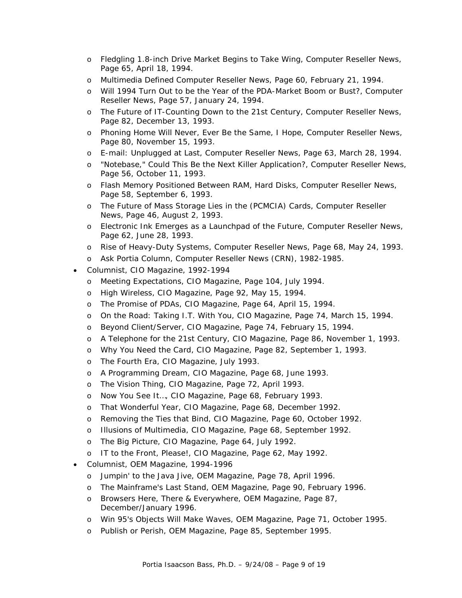- o Fledgling 1.8-inch Drive Market Begins to Take Wing, Computer Reseller News, Page 65, April 18, 1994.
- o Multimedia Defined Computer Reseller News, Page 60, February 21, 1994.
- o Will 1994 Turn Out to be the Year of the PDA-Market Boom or Bust?, Computer Reseller News, Page 57, January 24, 1994.
- o The Future of IT-Counting Down to the 21st Century, Computer Reseller News, Page 82, December 13, 1993.
- o Phoning Home Will Never, Ever Be the Same, I Hope, Computer Reseller News, Page 80, November 15, 1993.
- o E-mail: Unplugged at Last, Computer Reseller News, Page 63, March 28, 1994.
- o "Notebase," Could This Be the Next Killer Application?, Computer Reseller News, Page 56, October 11, 1993.
- o Flash Memory Positioned Between RAM, Hard Disks, Computer Reseller News, Page 58, September 6, 1993.
- o The Future of Mass Storage Lies in the (PCMCIA) Cards, Computer Reseller News, Page 46, August 2, 1993.
- o Electronic Ink Emerges as a Launchpad of the Future, Computer Reseller News, Page 62, June 28, 1993.
- o Rise of Heavy-Duty Systems, Computer Reseller News, Page 68, May 24, 1993.
- o Ask Portia Column, Computer Reseller News (CRN), 1982-1985.
- Columnist, *CIO Magazine*, 1992-1994
	- o Meeting Expectations, CIO Magazine, Page 104, July 1994.
	- o High Wireless, CIO Magazine, Page 92, May 15, 1994.
	- o The Promise of PDAs, CIO Magazine, Page 64, April 15, 1994.
	- o On the Road: Taking I.T. With You, CIO Magazine, Page 74, March 15, 1994.
	- o Beyond Client/Server, CIO Magazine, Page 74, February 15, 1994.
	- o A Telephone for the 21st Century, CIO Magazine, Page 86, November 1, 1993.
	- o Why You Need the Card, CIO Magazine, Page 82, September 1, 1993.
	- o The Fourth Era, CIO Magazine, July 1993.
	- o A Programming Dream, CIO Magazine, Page 68, June 1993.
	- o The Vision Thing, CIO Magazine, Page 72, April 1993.
	- o Now You See It…, CIO Magazine, Page 68, February 1993.
	- o That Wonderful Year, CIO Magazine, Page 68, December 1992.
	- o Removing the Ties that Bind, CIO Magazine, Page 60, October 1992.
	- o Illusions of Multimedia, CIO Magazine, Page 68, September 1992.
	- o The Big Picture, CIO Magazine, Page 64, July 1992.
	- o IT to the Front, Please!, CIO Magazine, Page 62, May 1992.
- Columnist, *OEM Magazine*, 1994-1996
	- o Jumpin' to the Java Jive, OEM Magazine, Page 78, April 1996.
	- o The Mainframe's Last Stand, OEM Magazine, Page 90, February 1996.
	- o Browsers Here, There & Everywhere, OEM Magazine, Page 87, December/January 1996.
	- o Win 95's Objects Will Make Waves, OEM Magazine, Page 71, October 1995.
	- o Publish or Perish, OEM Magazine, Page 85, September 1995.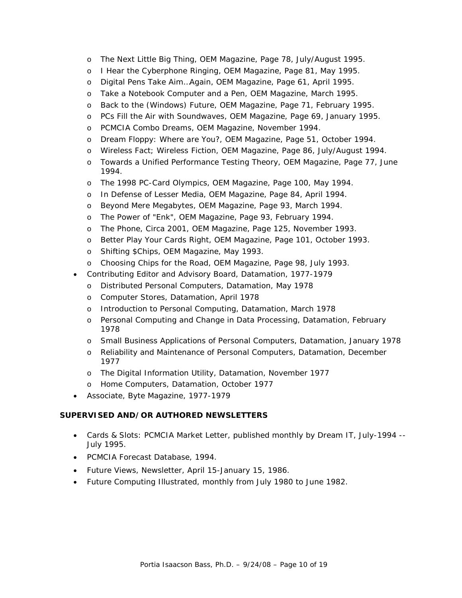- o The Next Little Big Thing, OEM Magazine, Page 78, July/August 1995.
- o I Hear the Cyberphone Ringing, OEM Magazine, Page 81, May 1995.
- o Digital Pens Take Aim…Again, OEM Magazine, Page 61, April 1995.
- o Take a Notebook Computer and a Pen, OEM Magazine, March 1995.
- o Back to the (Windows) Future, OEM Magazine, Page 71, February 1995.
- o PCs Fill the Air with Soundwaves, OEM Magazine, Page 69, January 1995.
- o PCMCIA Combo Dreams, OEM Magazine, November 1994.
- o Dream Floppy: Where are You?, OEM Magazine, Page 51, October 1994.
- Wireless Fact; Wireless Fiction, OEM Magazine, Page 86, July/August 1994.
- o Towards a Unified Performance Testing Theory, OEM Magazine, Page 77, June 1994.
- o The 1998 PC-Card Olympics, OEM Magazine, Page 100, May 1994.
- o In Defense of Lesser Media, OEM Magazine, Page 84, April 1994.
- o Beyond Mere Megabytes, OEM Magazine, Page 93, March 1994.
- o The Power of "Enk", OEM Magazine, Page 93, February 1994.
- o The Phone, Circa 2001, OEM Magazine, Page 125, November 1993.
- o Better Play Your Cards Right, OEM Magazine, Page 101, October 1993.
- o Shifting \$Chips, OEM Magazine, May 1993.
- o Choosing Chips for the Road, OEM Magazine, Page 98, July 1993.
- Contributing Editor and Advisory Board, *Datamation*, 1977-1979
	- o Distributed Personal Computers, Datamation, May 1978
	- o Computer Stores, Datamation, April 1978
	- o Introduction to Personal Computing, Datamation, March 1978
	- o Personal Computing and Change in Data Processing, Datamation, February 1978
	- o Small Business Applications of Personal Computers, Datamation, January 1978
	- o Reliability and Maintenance of Personal Computers, Datamation, December 1977
	- o The Digital Information Utility, Datamation, November 1977
	- o Home Computers, Datamation, October 1977
- Associate, *Byte Magazine*, 1977-1979

### **SUPERVISED AND/OR AUTHORED NEWSLETTERS**

- Cards & Slots: PCMCIA Market Letter, published monthly by Dream IT, July-1994 -- July 1995.
- PCMCIA Forecast Database, 1994.
- Future Views, Newsletter, April 15-January 15, 1986.
- Future Computing Illustrated, monthly from July 1980 to June 1982.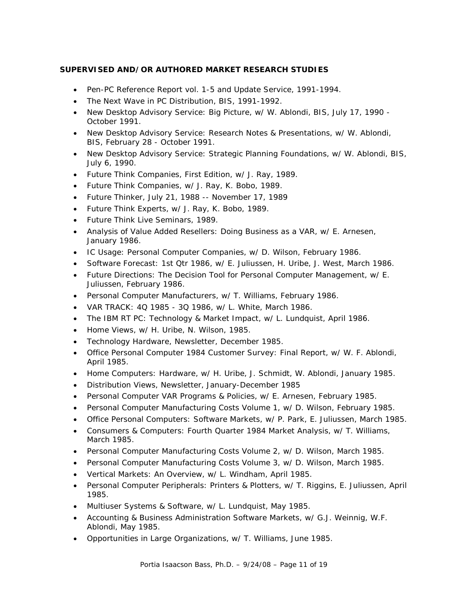### **SUPERVISED AND/OR AUTHORED MARKET RESEARCH STUDIES**

- Pen-PC Reference Report vol. 1-5 and Update Service, 1991-1994.
- The Next Wave in PC Distribution, BIS, 1991-1992.
- New Desktop Advisory Service: Big Picture, w/ W. Ablondi, BIS, July 17, 1990 October 1991.
- New Desktop Advisory Service: Research Notes & Presentations, w/ W. Ablondi, BIS, February 28 - October 1991.
- New Desktop Advisory Service: Strategic Planning Foundations, w/ W. Ablondi, BIS, July 6, 1990.
- Future Think Companies, First Edition, w/ J. Ray, 1989.
- Future Think Companies, w/ J. Ray, K. Bobo, 1989.
- Future Thinker, July 21, 1988 -- November 17, 1989
- Future Think Experts, w/ J. Ray, K. Bobo, 1989.
- Future Think Live Seminars, 1989.
- Analysis of Value Added Resellers: Doing Business as a VAR, w/ E. Arnesen, January 1986.
- IC Usage: Personal Computer Companies, w/ D. Wilson, February 1986.
- Software Forecast: 1st Qtr 1986, w/ E. Juliussen, H. Uribe, J. West, March 1986.
- Future Directions: The Decision Tool for Personal Computer Management, w/ E. Juliussen, February 1986.
- Personal Computer Manufacturers, w/ T. Williams, February 1986.
- VAR TRACK: 4Q 1985 3Q 1986, w/ L. White, March 1986.
- The IBM RT PC: Technology & Market Impact, w/ L. Lundquist, April 1986.
- Home Views, w/ H. Uribe, N. Wilson, 1985.
- Technology Hardware, Newsletter, December 1985.
- Office Personal Computer 1984 Customer Survey: Final Report, w/ W. F. Ablondi, April 1985.
- Home Computers: Hardware, w/ H. Uribe, J. Schmidt, W. Ablondi, January 1985.
- Distribution Views, Newsletter, January-December 1985
- Personal Computer VAR Programs & Policies, w/ E. Arnesen, February 1985.
- Personal Computer Manufacturing Costs Volume 1, w/ D. Wilson, February 1985.
- Office Personal Computers: Software Markets, w/ P. Park, E. Juliussen, March 1985.
- Consumers & Computers: Fourth Quarter 1984 Market Analysis, w/ T. Williams, March 1985.
- Personal Computer Manufacturing Costs Volume 2, w/ D. Wilson, March 1985.
- Personal Computer Manufacturing Costs Volume 3, w/ D. Wilson, March 1985.
- Vertical Markets: An Overview, w/ L. Windham, April 1985.
- Personal Computer Peripherals: Printers & Plotters, w/ T. Riggins, E. Juliussen, April 1985.
- Multiuser Systems & Software, w/ L. Lundquist, May 1985.
- Accounting & Business Administration Software Markets, w/ G.J. Weinnig, W.F. Ablondi, May 1985.
- Opportunities in Large Organizations, w/ T. Williams, June 1985.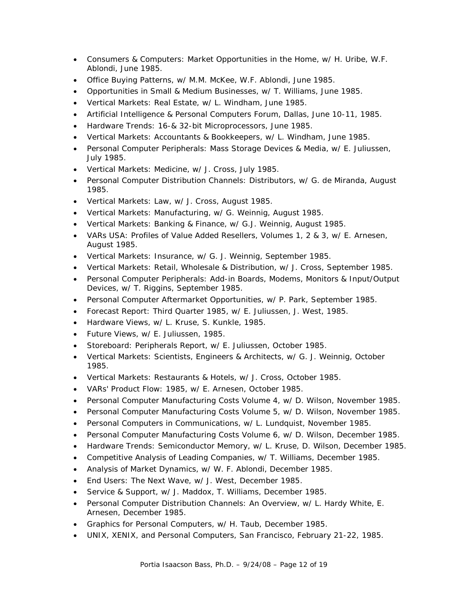- Consumers & Computers: Market Opportunities in the Home, w/ H. Uribe, W.F. Ablondi, June 1985.
- Office Buying Patterns, w/ M.M. McKee, W.F. Ablondi, June 1985.
- Opportunities in Small & Medium Businesses, w/ T. Williams, June 1985.
- Vertical Markets: Real Estate, w/ L. Windham, June 1985.
- Artificial Intelligence & Personal Computers Forum, Dallas, June 10-11, 1985.
- Hardware Trends: 16-& 32-bit Microprocessors, June 1985.
- Vertical Markets: Accountants & Bookkeepers, w/ L. Windham, June 1985.
- Personal Computer Peripherals: Mass Storage Devices & Media, w/ E. Juliussen, July 1985.
- Vertical Markets: Medicine, w/ J. Cross, July 1985.
- Personal Computer Distribution Channels: Distributors, w/ G. de Miranda, August 1985.
- Vertical Markets: Law, w/ J. Cross, August 1985.
- Vertical Markets: Manufacturing, w/ G. Weinnig, August 1985.
- Vertical Markets: Banking & Finance, w/ G.J. Weinnig, August 1985.
- VARs USA: Profiles of Value Added Resellers, Volumes 1, 2 & 3, w/ E. Arnesen, August 1985.
- Vertical Markets: Insurance, w/ G. J. Weinnig, September 1985.
- Vertical Markets: Retail, Wholesale & Distribution, w/ J. Cross, September 1985.
- Personal Computer Peripherals: Add-in Boards, Modems, Monitors & Input/Output Devices, w/ T. Riggins, September 1985.
- Personal Computer Aftermarket Opportunities, w/ P. Park, September 1985.
- Forecast Report: Third Quarter 1985, w/ E. Juliussen, J. West, 1985.
- Hardware Views, w/ L. Kruse, S. Kunkle, 1985.
- Future Views, w/ E. Juliussen, 1985.
- Storeboard: Peripherals Report, w/ E. Juliussen, October 1985.
- Vertical Markets: Scientists, Engineers & Architects, w/ G. J. Weinnig, October 1985.
- Vertical Markets: Restaurants & Hotels, w/ J. Cross, October 1985.
- VARs' Product Flow: 1985, w/ E. Arnesen, October 1985.
- Personal Computer Manufacturing Costs Volume 4, w/ D. Wilson, November 1985.
- Personal Computer Manufacturing Costs Volume 5, w/ D. Wilson, November 1985.
- Personal Computers in Communications, w/ L. Lundquist, November 1985.
- Personal Computer Manufacturing Costs Volume 6, w/ D. Wilson, December 1985.
- Hardware Trends: Semiconductor Memory, w/ L. Kruse, D. Wilson, December 1985.
- Competitive Analysis of Leading Companies, w/ T. Williams, December 1985.
- Analysis of Market Dynamics, w/ W. F. Ablondi, December 1985.
- End Users: The Next Wave, w/ J. West, December 1985.
- Service & Support, w/ J. Maddox, T. Williams, December 1985.
- Personal Computer Distribution Channels: An Overview, w/ L. Hardy White, E. Arnesen, December 1985.
- Graphics for Personal Computers, w/ H. Taub, December 1985.
- UNIX, XENIX, and Personal Computers, San Francisco, February 21-22, 1985.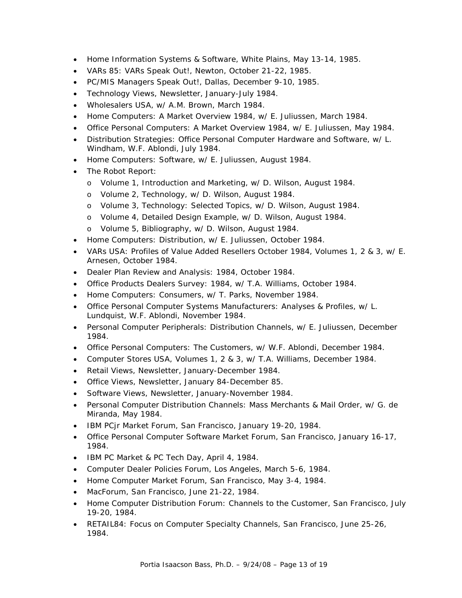- Home Information Systems & Software, White Plains, May 13-14, 1985.
- VARs 85: VARs Speak Out!, Newton, October 21-22, 1985.
- PC/MIS Managers Speak Out!, Dallas, December 9-10, 1985.
- Technology Views, Newsletter, January-July 1984.
- Wholesalers USA, w/ A.M. Brown, March 1984.
- Home Computers: A Market Overview 1984, w/ E. Juliussen, March 1984.
- Office Personal Computers: A Market Overview 1984, w/ E. Juliussen, May 1984.
- Distribution Strategies: Office Personal Computer Hardware and Software, w/ L. Windham, W.F. Ablondi, July 1984.
- Home Computers: Software, w/ E. Juliussen, August 1984.
- The Robot Report:
	- o Volume 1, Introduction and Marketing, w/ D. Wilson, August 1984.
	- o Volume 2, Technology, w/ D. Wilson, August 1984.
	- o Volume 3, Technology: Selected Topics, w/ D. Wilson, August 1984.
	- o Volume 4, Detailed Design Example, w/ D. Wilson, August 1984.
	- o Volume 5, Bibliography, w/ D. Wilson, August 1984.
- Home Computers: Distribution, w/ E. Juliussen, October 1984.
- VARs USA: Profiles of Value Added Resellers October 1984, Volumes 1, 2 & 3, w/ E. Arnesen, October 1984.
- Dealer Plan Review and Analysis: 1984, October 1984.
- Office Products Dealers Survey: 1984, w/ T.A. Williams, October 1984.
- Home Computers: Consumers, w/ T. Parks, November 1984.
- Office Personal Computer Systems Manufacturers: Analyses & Profiles, w/ L. Lundquist, W.F. Ablondi, November 1984.
- Personal Computer Peripherals: Distribution Channels, w/ E. Juliussen, December 1984.
- Office Personal Computers: The Customers, w/ W.F. Ablondi, December 1984.
- Computer Stores USA, Volumes 1, 2 & 3, w/ T.A. Williams, December 1984.
- Retail Views, Newsletter, January-December 1984.
- Office Views, Newsletter, January 84-December 85.
- Software Views, Newsletter, January-November 1984.
- Personal Computer Distribution Channels: Mass Merchants & Mail Order, w/ G. de Miranda, May 1984.
- IBM PCjr Market Forum, San Francisco, January 19-20, 1984.
- Office Personal Computer Software Market Forum, San Francisco, January 16-17, 1984.
- IBM PC Market & PC Tech Day, April 4, 1984.
- Computer Dealer Policies Forum, Los Angeles, March 5-6, 1984.
- Home Computer Market Forum, San Francisco, May 3-4, 1984.
- MacForum, San Francisco, June 21-22, 1984.
- Home Computer Distribution Forum: Channels to the Customer, San Francisco, July 19-20, 1984.
- RETAIL84: Focus on Computer Specialty Channels, San Francisco, June 25-26, 1984.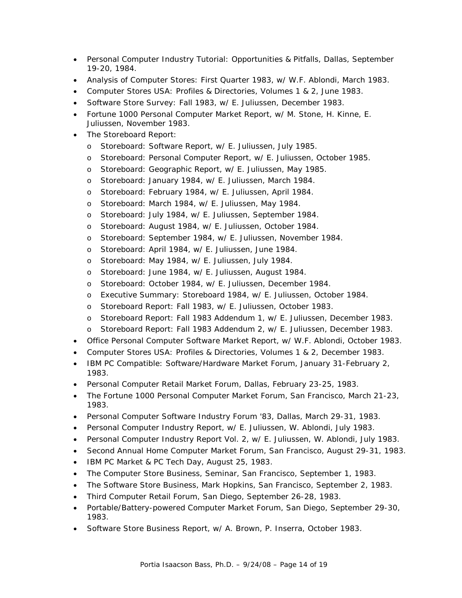- Personal Computer Industry Tutorial: Opportunities & Pitfalls, Dallas, September 19-20, 1984.
- Analysis of Computer Stores: First Quarter 1983, w/ W.F. Ablondi, March 1983.
- Computer Stores USA: Profiles & Directories, Volumes 1 & 2, June 1983.
- Software Store Survey: Fall 1983, w/ E. Juliussen, December 1983.
- Fortune 1000 Personal Computer Market Report, w/ M. Stone, H. Kinne, E. Juliussen, November 1983.
- **The Storeboard Report:** 
	- o Storeboard: Software Report, w/ E. Juliussen, July 1985.
	- o Storeboard: Personal Computer Report, w/ E. Juliussen, October 1985.
	- o Storeboard: Geographic Report, w/ E. Juliussen, May 1985.
	- o Storeboard: January 1984, w/ E. Juliussen, March 1984.
	- o Storeboard: February 1984, w/ E. Juliussen, April 1984.
	- o Storeboard: March 1984, w/ E. Juliussen, May 1984.
	- o Storeboard: July 1984, w/ E. Juliussen, September 1984.
	- o Storeboard: August 1984, w/ E. Juliussen, October 1984.
	- o Storeboard: September 1984, w/ E. Juliussen, November 1984.
	- o Storeboard: April 1984, w/ E. Juliussen, June 1984.
	- o Storeboard: May 1984, w/ E. Juliussen, July 1984.
	- o Storeboard: June 1984, w/ E. Juliussen, August 1984.
	- o Storeboard: October 1984, w/ E. Juliussen, December 1984.
	- o Executive Summary: Storeboard 1984, w/ E. Juliussen, October 1984.
	- o Storeboard Report: Fall 1983, w/ E. Juliussen, October 1983.
	- o Storeboard Report: Fall 1983 Addendum 1, w/ E. Juliussen, December 1983.
	- o Storeboard Report: Fall 1983 Addendum 2, w/ E. Juliussen, December 1983.
- Office Personal Computer Software Market Report, w/ W.F. Ablondi, October 1983.
- Computer Stores USA: Profiles & Directories, Volumes 1 & 2, December 1983.
- IBM PC Compatible: Software/Hardware Market Forum, January 31-February 2, 1983.
- Personal Computer Retail Market Forum, Dallas, February 23-25, 1983.
- The Fortune 1000 Personal Computer Market Forum, San Francisco, March 21-23, 1983.
- Personal Computer Software Industry Forum '83, Dallas, March 29-31, 1983.
- Personal Computer Industry Report, w/ E. Juliussen, W. Ablondi, July 1983.
- Personal Computer Industry Report Vol. 2, w/ E. Juliussen, W. Ablondi, July 1983.
- Second Annual Home Computer Market Forum, San Francisco, August 29-31, 1983.
- IBM PC Market & PC Tech Day, August 25, 1983.
- The Computer Store Business, Seminar, San Francisco, September 1, 1983.
- The Software Store Business, Mark Hopkins, San Francisco, September 2, 1983.
- Third Computer Retail Forum, San Diego, September 26-28, 1983.
- Portable/Battery-powered Computer Market Forum, San Diego, September 29-30, 1983.
- Software Store Business Report, w/ A. Brown, P. Inserra, October 1983.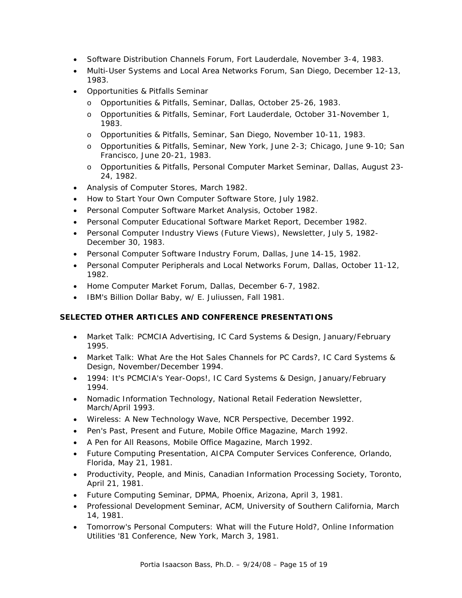- Software Distribution Channels Forum, Fort Lauderdale, November 3-4, 1983.
- Multi-User Systems and Local Area Networks Forum, San Diego, December 12-13, 1983.
- Opportunities & Pitfalls Seminar
	- o Opportunities & Pitfalls, Seminar, Dallas, October 25-26, 1983.
	- o Opportunities & Pitfalls, Seminar, Fort Lauderdale, October 31-November 1, 1983.
	- o Opportunities & Pitfalls, Seminar, San Diego, November 10-11, 1983.
	- o Opportunities & Pitfalls, Seminar, New York, June 2-3; Chicago, June 9-10; San Francisco, June 20-21, 1983.
	- o Opportunities & Pitfalls, Personal Computer Market Seminar, Dallas, August 23- 24, 1982.
- Analysis of Computer Stores, March 1982.
- How to Start Your Own Computer Software Store, July 1982.
- Personal Computer Software Market Analysis, October 1982.
- Personal Computer Educational Software Market Report, December 1982.
- Personal Computer Industry Views (Future Views), Newsletter, July 5, 1982- December 30, 1983.
- Personal Computer Software Industry Forum, Dallas, June 14-15, 1982.
- Personal Computer Peripherals and Local Networks Forum, Dallas, October 11-12, 1982.
- Home Computer Market Forum, Dallas, December 6-7, 1982.
- IBM's Billion Dollar Baby, w/ E. Juliussen, Fall 1981.

# **SELECTED OTHER ARTICLES AND CONFERENCE PRESENTATIONS**

- Market Talk: PCMCIA Advertising, IC Card Systems & Design, January/February 1995.
- Market Talk: What Are the Hot Sales Channels for PC Cards?, IC Card Systems & Design, November/December 1994.
- 1994: It's PCMCIA's Year-Oops!, IC Card Systems & Design, January/February 1994.
- Nomadic Information Technology, National Retail Federation Newsletter, March/April 1993.
- Wireless: A New Technology Wave, NCR Perspective, December 1992.
- Pen's Past, Present and Future, Mobile Office Magazine, March 1992.
- A Pen for All Reasons, Mobile Office Magazine, March 1992.
- Future Computing Presentation, AICPA Computer Services Conference, Orlando, Florida, May 21, 1981.
- Productivity, People, and Minis, Canadian Information Processing Society, Toronto, April 21, 1981.
- Future Computing Seminar, DPMA, Phoenix, Arizona, April 3, 1981.
- Professional Development Seminar, ACM, University of Southern California, March 14, 1981.
- Tomorrow's Personal Computers: What will the Future Hold?, Online Information Utilities '81 Conference, New York, March 3, 1981.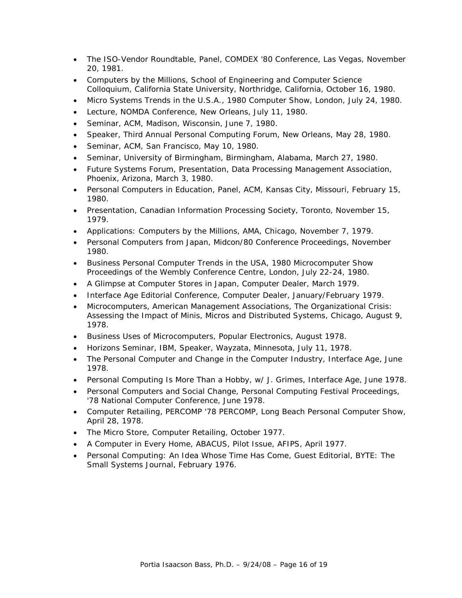- The ISO-Vendor Roundtable, Panel, COMDEX '80 Conference, Las Vegas, November 20, 1981.
- Computers by the Millions, School of Engineering and Computer Science Colloquium, California State University, Northridge, California, October 16, 1980.
- Micro Systems Trends in the U.S.A., 1980 Computer Show, London, July 24, 1980.
- Lecture, NOMDA Conference, New Orleans, July 11, 1980.
- Seminar, ACM, Madison, Wisconsin, June 7, 1980.
- Speaker, Third Annual Personal Computing Forum, New Orleans, May 28, 1980.
- Seminar, ACM, San Francisco, May 10, 1980.
- Seminar, University of Birmingham, Birmingham, Alabama, March 27, 1980.
- Future Systems Forum, Presentation, Data Processing Management Association, Phoenix, Arizona, March 3, 1980.
- Personal Computers in Education, Panel, ACM, Kansas City, Missouri, February 15, 1980.
- Presentation, Canadian Information Processing Society, Toronto, November 15, 1979.
- Applications: Computers by the Millions, AMA, Chicago, November 7, 1979.
- Personal Computers from Japan, Midcon/80 Conference Proceedings, November 1980.
- Business Personal Computer Trends in the USA, 1980 Microcomputer Show Proceedings of the Wembly Conference Centre, London, July 22-24, 1980.
- A Glimpse at Computer Stores in Japan, Computer Dealer, March 1979.
- Interface Age Editorial Conference, Computer Dealer, January/February 1979.
- Microcomputers, American Management Associations, The Organizational Crisis: Assessing the Impact of Minis, Micros and Distributed Systems, Chicago, August 9, 1978.
- Business Uses of Microcomputers, Popular Electronics, August 1978.
- Horizons Seminar, IBM, Speaker, Wayzata, Minnesota, July 11, 1978.
- The Personal Computer and Change in the Computer Industry, Interface Age, June 1978.
- Personal Computing Is More Than a Hobby, w/ J. Grimes, Interface Age, June 1978.
- Personal Computers and Social Change, Personal Computing Festival Proceedings, '78 National Computer Conference, June 1978.
- Computer Retailing, PERCOMP '78 PERCOMP, Long Beach Personal Computer Show, April 28, 1978.
- The Micro Store, Computer Retailing, October 1977.
- A Computer in Every Home, *ABACUS*, Pilot Issue, AFIPS, April 1977.
- Personal Computing: An Idea Whose Time Has Come, Guest Editorial, *BYTE*: The Small Systems Journal, February 1976.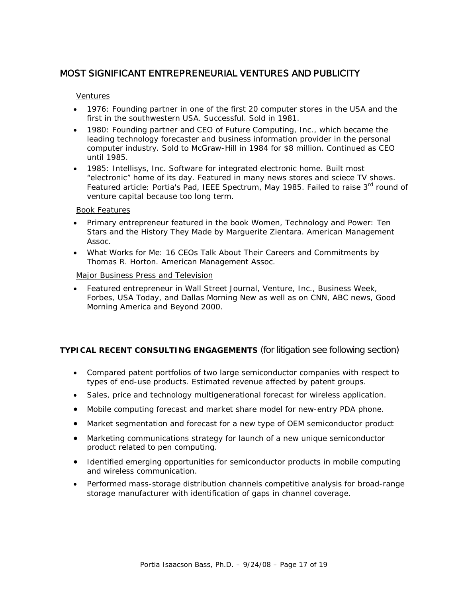# MOST SIGNIFICANT ENTREPRENEURIAL VENTURES AND PUBLICITY

### *Ventures*

- 1976: Founding partner in one of the first 20 computer stores in the USA and the first in the southwestern USA. Successful. Sold in 1981.
- 1980: Founding partner and CEO of Future Computing, Inc., which became the leading technology forecaster and business information provider in the personal computer industry. Sold to McGraw-Hill in 1984 for \$8 million. Continued as CEO until 1985.
- 1985: Intellisys, Inc. Software for integrated electronic home. Built most "electronic" home of its day. Featured in many news stores and sciece TV shows. Featured article: Portia's Pad, IEEE Spectrum, May 1985. Failed to raise 3<sup>rd</sup> round of venture capital because too long term.

### *Book Features*

- Primary entrepreneur featured in the book *Women, Technology and Power: Ten Stars and the History They Made* by Marguerite Zientara. American Management Assoc.
- *What Works for Me: 16 CEOs Talk About Their Careers and Commitments* by Thomas R. Horton. American Management Assoc.

### *Major Business Press and Television*

• Featured entrepreneur in Wall Street Journal, Venture, Inc., Business Week, Forbes, USA Today, and Dallas Morning New as well as on CNN, ABC news, Good Morning America and Beyond 2000.

# **TYPICAL RECENT CONSULTING ENGAGEMENTS** (for litigation see following section)

- Compared patent portfolios of two large semiconductor companies with respect to types of end-use products. Estimated revenue affected by patent groups.
- Sales, price and technology multigenerational forecast for wireless application.
- Mobile computing forecast and market share model for new-entry PDA phone.
- Market segmentation and forecast for a new type of OEM semiconductor product
- Marketing communications strategy for launch of a new unique semiconductor product related to pen computing.
- Identified emerging opportunities for semiconductor products in mobile computing and wireless communication.
- Performed mass-storage distribution channels competitive analysis for broad-range storage manufacturer with identification of gaps in channel coverage.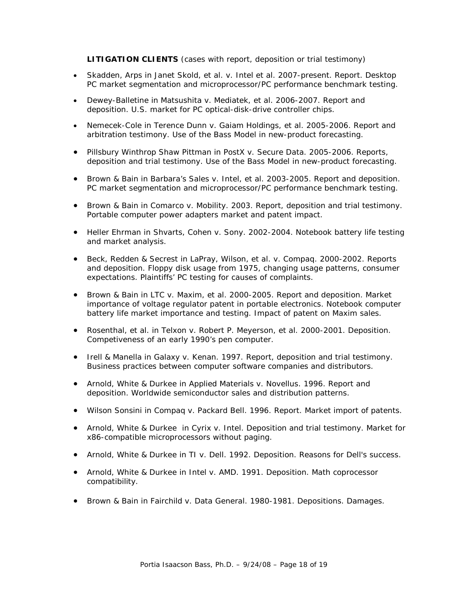**LITIGATION CLIENTS** (cases with report, deposition or trial testimony)

- Skadden, Arps in Janet Skold, et al. v. Intel et al. 2007-present. Report. Desktop PC market segmentation and microprocessor/PC performance benchmark testing.
- Dewey-Balletine in Matsushita v. Mediatek, et al. 2006-2007. Report and deposition. U.S. market for PC optical-disk-drive controller chips.
- Nemecek-Cole in Terence Dunn v. Gaiam Holdings, et al. 2005-2006. Report and arbitration testimony. Use of the Bass Model in new-product forecasting.
- Pillsbury Winthrop Shaw Pittman in PostX v. Secure Data. 2005-2006. Reports, deposition and trial testimony. Use of the Bass Model in new-product forecasting.
- Brown & Bain in Barbara's Sales v. Intel, et al. 2003-2005. Report and deposition. PC market segmentation and microprocessor/PC performance benchmark testing.
- Brown & Bain in Comarco v. Mobility. 2003. Report, deposition and trial testimony. Portable computer power adapters market and patent impact.
- Heller Ehrman in Shvarts, Cohen v. Sony. 2002-2004. Notebook battery life testing and market analysis.
- Beck, Redden & Secrest in LaPray, Wilson, et al. v. Compaq. 2000-2002. Reports and deposition. Floppy disk usage from 1975, changing usage patterns, consumer expectations. Plaintiffs' PC testing for causes of complaints.
- Brown & Bain in LTC v. Maxim, et al. 2000-2005. Report and deposition. Market importance of voltage regulator patent in portable electronics. Notebook computer battery life market importance and testing. Impact of patent on Maxim sales.
- Rosenthal, et al. in Telxon v. Robert P. Meyerson, et al. 2000-2001. Deposition. Competiveness of an early 1990's pen computer.
- Irell & Manella in Galaxy v. Kenan. 1997. Report, deposition and trial testimony. Business practices between computer software companies and distributors.
- Arnold, White & Durkee in Applied Materials v. Novellus. 1996. Report and deposition. Worldwide semiconductor sales and distribution patterns.
- Wilson Sonsini in Compaq v. Packard Bell. 1996. Report. Market import of patents.
- Arnold, White & Durkee in Cyrix v. Intel. Deposition and trial testimony. Market for x86-compatible microprocessors without paging.
- Arnold, White & Durkee in TI v. Dell. 1992. Deposition. Reasons for Dell's success.
- Arnold, White & Durkee in Intel v. AMD. 1991. Deposition. Math coprocessor compatibility.
- Brown & Bain in Fairchild v. Data General. 1980-1981. Depositions. Damages.